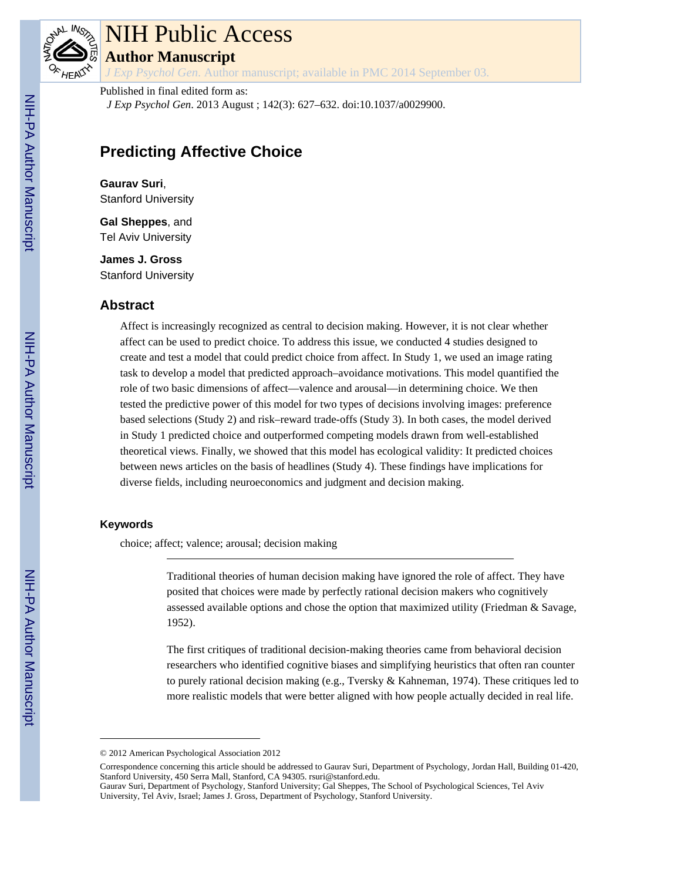

# NIH Public Access

**Author Manuscript**

*J Exp Psychol Gen*. Author manuscript; available in PMC 2014 September 03.

Published in final edited form as: *J Exp Psychol Gen*. 2013 August ; 142(3): 627–632. doi:10.1037/a0029900.

# **Predicting Affective Choice**

**Gaurav Suri**, Stanford University

**Gal Sheppes**, and Tel Aviv University

**James J. Gross** Stanford University

# **Abstract**

Affect is increasingly recognized as central to decision making. However, it is not clear whether affect can be used to predict choice. To address this issue, we conducted 4 studies designed to create and test a model that could predict choice from affect. In Study 1, we used an image rating task to develop a model that predicted approach–avoidance motivations. This model quantified the role of two basic dimensions of affect—valence and arousal—in determining choice. We then tested the predictive power of this model for two types of decisions involving images: preference based selections (Study 2) and risk–reward trade-offs (Study 3). In both cases, the model derived in Study 1 predicted choice and outperformed competing models drawn from well-established theoretical views. Finally, we showed that this model has ecological validity: It predicted choices between news articles on the basis of headlines (Study 4). These findings have implications for diverse fields, including neuroeconomics and judgment and decision making.

#### **Keywords**

choice; affect; valence; arousal; decision making

Traditional theories of human decision making have ignored the role of affect. They have posited that choices were made by perfectly rational decision makers who cognitively assessed available options and chose the option that maximized utility (Friedman & Savage, 1952).

The first critiques of traditional decision-making theories came from behavioral decision researchers who identified cognitive biases and simplifying heuristics that often ran counter to purely rational decision making (e.g., Tversky & Kahneman, 1974). These critiques led to more realistic models that were better aligned with how people actually decided in real life.

<sup>© 2012</sup> American Psychological Association 2012

Correspondence concerning this article should be addressed to Gaurav Suri, Department of Psychology, Jordan Hall, Building 01-420, Stanford University, 450 Serra Mall, Stanford, CA 94305. rsuri@stanford.edu.

Gaurav Suri, Department of Psychology, Stanford University; Gal Sheppes, The School of Psychological Sciences, Tel Aviv University, Tel Aviv, Israel; James J. Gross, Department of Psychology, Stanford University.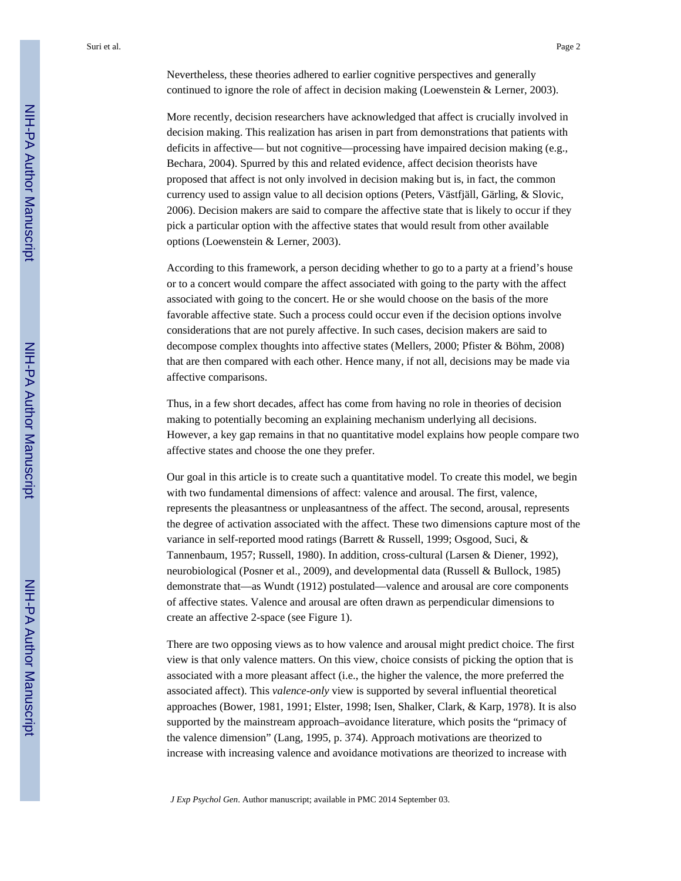Nevertheless, these theories adhered to earlier cognitive perspectives and generally continued to ignore the role of affect in decision making (Loewenstein & Lerner, 2003).

More recently, decision researchers have acknowledged that affect is crucially involved in decision making. This realization has arisen in part from demonstrations that patients with deficits in affective— but not cognitive—processing have impaired decision making (e.g., Bechara, 2004). Spurred by this and related evidence, affect decision theorists have proposed that affect is not only involved in decision making but is, in fact, the common currency used to assign value to all decision options (Peters, Västfjäll, Gärling, & Slovic, 2006). Decision makers are said to compare the affective state that is likely to occur if they pick a particular option with the affective states that would result from other available options (Loewenstein & Lerner, 2003).

According to this framework, a person deciding whether to go to a party at a friend's house or to a concert would compare the affect associated with going to the party with the affect associated with going to the concert. He or she would choose on the basis of the more favorable affective state. Such a process could occur even if the decision options involve considerations that are not purely affective. In such cases, decision makers are said to decompose complex thoughts into affective states (Mellers, 2000; Pfister & Böhm, 2008) that are then compared with each other. Hence many, if not all, decisions may be made via affective comparisons.

Thus, in a few short decades, affect has come from having no role in theories of decision making to potentially becoming an explaining mechanism underlying all decisions. However, a key gap remains in that no quantitative model explains how people compare two affective states and choose the one they prefer.

Our goal in this article is to create such a quantitative model. To create this model, we begin with two fundamental dimensions of affect: valence and arousal. The first, valence, represents the pleasantness or unpleasantness of the affect. The second, arousal, represents the degree of activation associated with the affect. These two dimensions capture most of the variance in self-reported mood ratings (Barrett & Russell, 1999; Osgood, Suci, & Tannenbaum, 1957; Russell, 1980). In addition, cross-cultural (Larsen & Diener, 1992), neurobiological (Posner et al., 2009), and developmental data (Russell & Bullock, 1985) demonstrate that—as Wundt (1912) postulated—valence and arousal are core components of affective states. Valence and arousal are often drawn as perpendicular dimensions to create an affective 2-space (see Figure 1).

There are two opposing views as to how valence and arousal might predict choice. The first view is that only valence matters. On this view, choice consists of picking the option that is associated with a more pleasant affect (i.e., the higher the valence, the more preferred the associated affect). This *valence-only* view is supported by several influential theoretical approaches (Bower, 1981, 1991; Elster, 1998; Isen, Shalker, Clark, & Karp, 1978). It is also supported by the mainstream approach–avoidance literature, which posits the "primacy of the valence dimension" (Lang, 1995, p. 374). Approach motivations are theorized to increase with increasing valence and avoidance motivations are theorized to increase with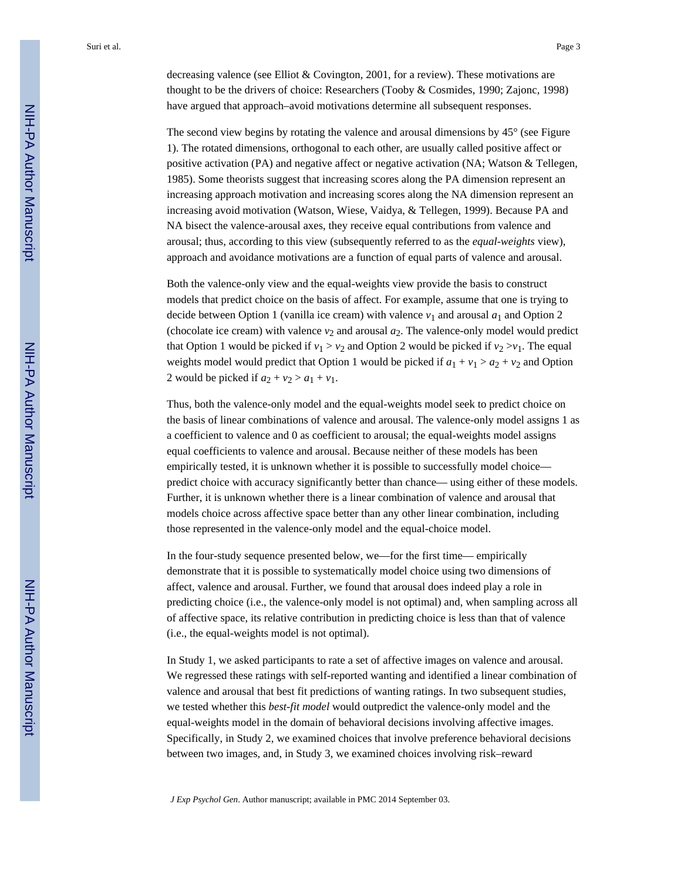decreasing valence (see Elliot & Covington, 2001, for a review). These motivations are thought to be the drivers of choice: Researchers (Tooby & Cosmides, 1990; Zajonc, 1998) have argued that approach–avoid motivations determine all subsequent responses.

The second view begins by rotating the valence and arousal dimensions by 45° (see Figure 1). The rotated dimensions, orthogonal to each other, are usually called positive affect or positive activation (PA) and negative affect or negative activation (NA; Watson & Tellegen, 1985). Some theorists suggest that increasing scores along the PA dimension represent an increasing approach motivation and increasing scores along the NA dimension represent an increasing avoid motivation (Watson, Wiese, Vaidya, & Tellegen, 1999). Because PA and NA bisect the valence-arousal axes, they receive equal contributions from valence and arousal; thus, according to this view (subsequently referred to as the *equal-weights* view), approach and avoidance motivations are a function of equal parts of valence and arousal.

Both the valence-only view and the equal-weights view provide the basis to construct models that predict choice on the basis of affect. For example, assume that one is trying to decide between Option 1 (vanilla ice cream) with valence  $v_1$  and arousal  $a_1$  and Option 2 (chocolate ice cream) with valence  $v_2$  and arousal  $a_2$ . The valence-only model would predict that Option 1 would be picked if  $v_1 > v_2$  and Option 2 would be picked if  $v_2 > v_1$ . The equal weights model would predict that Option 1 would be picked if  $a_1 + v_1 > a_2 + v_2$  and Option 2 would be picked if  $a_2 + v_2 > a_1 + v_1$ .

Thus, both the valence-only model and the equal-weights model seek to predict choice on the basis of linear combinations of valence and arousal. The valence-only model assigns 1 as a coefficient to valence and 0 as coefficient to arousal; the equal-weights model assigns equal coefficients to valence and arousal. Because neither of these models has been empirically tested, it is unknown whether it is possible to successfully model choice predict choice with accuracy significantly better than chance— using either of these models. Further, it is unknown whether there is a linear combination of valence and arousal that models choice across affective space better than any other linear combination, including those represented in the valence-only model and the equal-choice model.

In the four-study sequence presented below, we—for the first time— empirically demonstrate that it is possible to systematically model choice using two dimensions of affect, valence and arousal. Further, we found that arousal does indeed play a role in predicting choice (i.e., the valence-only model is not optimal) and, when sampling across all of affective space, its relative contribution in predicting choice is less than that of valence (i.e., the equal-weights model is not optimal).

In Study 1, we asked participants to rate a set of affective images on valence and arousal. We regressed these ratings with self-reported wanting and identified a linear combination of valence and arousal that best fit predictions of wanting ratings. In two subsequent studies, we tested whether this *best-fit model* would outpredict the valence-only model and the equal-weights model in the domain of behavioral decisions involving affective images. Specifically, in Study 2, we examined choices that involve preference behavioral decisions between two images, and, in Study 3, we examined choices involving risk–reward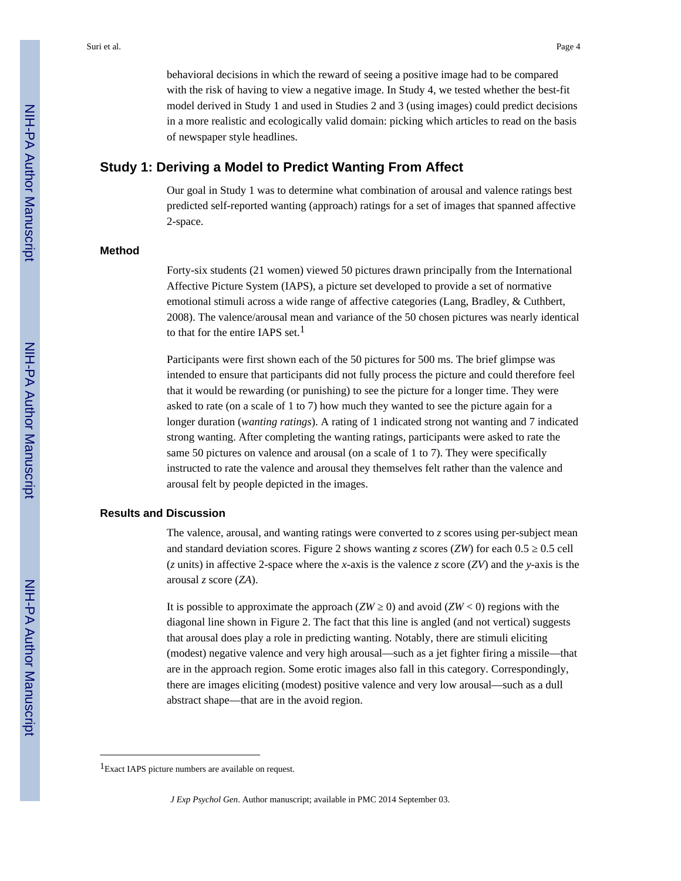behavioral decisions in which the reward of seeing a positive image had to be compared with the risk of having to view a negative image. In Study 4, we tested whether the best-fit model derived in Study 1 and used in Studies 2 and 3 (using images) could predict decisions in a more realistic and ecologically valid domain: picking which articles to read on the basis of newspaper style headlines.

# **Study 1: Deriving a Model to Predict Wanting From Affect**

Our goal in Study 1 was to determine what combination of arousal and valence ratings best predicted self-reported wanting (approach) ratings for a set of images that spanned affective 2-space.

#### **Method**

Forty-six students (21 women) viewed 50 pictures drawn principally from the International Affective Picture System (IAPS), a picture set developed to provide a set of normative emotional stimuli across a wide range of affective categories (Lang, Bradley, & Cuthbert, 2008). The valence/arousal mean and variance of the 50 chosen pictures was nearly identical to that for the entire IAPS set.<sup>1</sup>

Participants were first shown each of the 50 pictures for 500 ms. The brief glimpse was intended to ensure that participants did not fully process the picture and could therefore feel that it would be rewarding (or punishing) to see the picture for a longer time. They were asked to rate (on a scale of 1 to 7) how much they wanted to see the picture again for a longer duration (*wanting ratings*). A rating of 1 indicated strong not wanting and 7 indicated strong wanting. After completing the wanting ratings, participants were asked to rate the same 50 pictures on valence and arousal (on a scale of 1 to 7). They were specifically instructed to rate the valence and arousal they themselves felt rather than the valence and arousal felt by people depicted in the images.

#### **Results and Discussion**

The valence, arousal, and wanting ratings were converted to *z* scores using per-subject mean and standard deviation scores. Figure 2 shows wanting  $z$  scores ( $ZW$ ) for each 0.5  $\,$  0.5 cell (*z* units) in affective 2-space where the *x*-axis is the valence *z* score (*ZV*) and the *y*-axis is the arousal *z* score (*ZA*).

It is possible to approximate the approach  $(ZW \t 0)$  and avoid  $(ZW < 0)$  regions with the diagonal line shown in Figure 2. The fact that this line is angled (and not vertical) suggests that arousal does play a role in predicting wanting. Notably, there are stimuli eliciting (modest) negative valence and very high arousal—such as a jet fighter firing a missile—that are in the approach region. Some erotic images also fall in this category. Correspondingly, there are images eliciting (modest) positive valence and very low arousal—such as a dull abstract shape—that are in the avoid region.

<sup>&</sup>lt;sup>1</sup>Exact IAPS picture numbers are available on request.

*J Exp Psychol Gen*. Author manuscript; available in PMC 2014 September 03.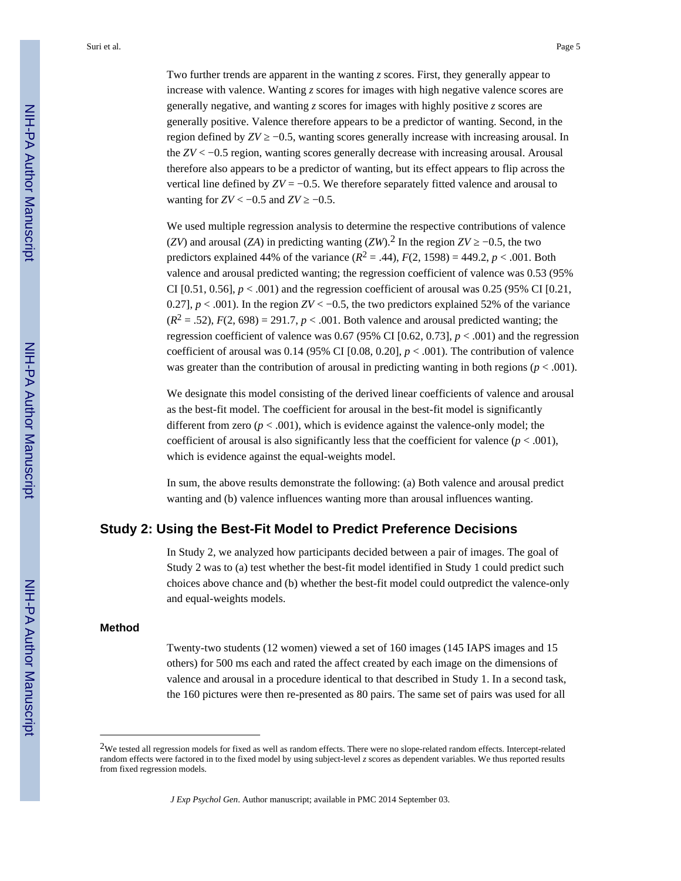Two further trends are apparent in the wanting *z* scores. First, they generally appear to increase with valence. Wanting *z* scores for images with high negative valence scores are generally negative, and wanting *z* scores for images with highly positive *z* scores are generally positive. Valence therefore appears to be a predictor of wanting. Second, in the region defined by  $ZV$  –0.5, wanting scores generally increase with increasing arousal. In the *ZV* < −0.5 region, wanting scores generally decrease with increasing arousal. Arousal therefore also appears to be a predictor of wanting, but its effect appears to flip across the vertical line defined by  $ZV = -0.5$ . We therefore separately fitted valence and arousal to wanting for  $ZV < -0.5$  and  $ZV$   $-0.5$ .

We used multiple regression analysis to determine the respective contributions of valence (*ZV*) and arousal (*ZA*) in predicting wanting (*ZW*).<sup>2</sup> In the region *ZV*  $-0.5$ , the two predictors explained 44% of the variance  $(R^2 = .44)$ ,  $F(2, 1598) = 449.2$ ,  $p < .001$ . Both valence and arousal predicted wanting; the regression coefficient of valence was 0.53 (95% CI  $[0.51, 0.56]$ ,  $p < .001$ ) and the regression coefficient of arousal was 0.25 (95% CI  $[0.21]$ , 0.27],  $p < .001$ ). In the region  $ZV < -0.5$ , the two predictors explained 52% of the variance  $(R^2 = .52)$ ,  $F(2, 698) = 291.7$ ,  $p < .001$ . Both valence and arousal predicted wanting; the regression coefficient of valence was  $0.67$  (95% CI [ $0.62$ ,  $0.73$ ],  $p < .001$ ) and the regression coefficient of arousal was 0.14 (95% CI  $[0.08, 0.20]$ ,  $p < .001$ ). The contribution of valence was greater than the contribution of arousal in predicting wanting in both regions (*p* < .001).

We designate this model consisting of the derived linear coefficients of valence and arousal as the best-fit model. The coefficient for arousal in the best-fit model is significantly different from zero ( $p < .001$ ), which is evidence against the valence-only model; the coefficient of arousal is also significantly less that the coefficient for valence  $(p < .001)$ , which is evidence against the equal-weights model.

In sum, the above results demonstrate the following: (a) Both valence and arousal predict wanting and (b) valence influences wanting more than arousal influences wanting.

# **Study 2: Using the Best-Fit Model to Predict Preference Decisions**

In Study 2, we analyzed how participants decided between a pair of images. The goal of Study 2 was to (a) test whether the best-fit model identified in Study 1 could predict such choices above chance and (b) whether the best-fit model could outpredict the valence-only and equal-weights models.

#### **Method**

Twenty-two students (12 women) viewed a set of 160 images (145 IAPS images and 15 others) for 500 ms each and rated the affect created by each image on the dimensions of valence and arousal in a procedure identical to that described in Study 1. In a second task, the 160 pictures were then re-presented as 80 pairs. The same set of pairs was used for all

<sup>2</sup>We tested all regression models for fixed as well as random effects. There were no slope-related random effects. Intercept-related random effects were factored in to the fixed model by using subject-level *z* scores as dependent variables. We thus reported results from fixed regression models.

*J Exp Psychol Gen*. Author manuscript; available in PMC 2014 September 03.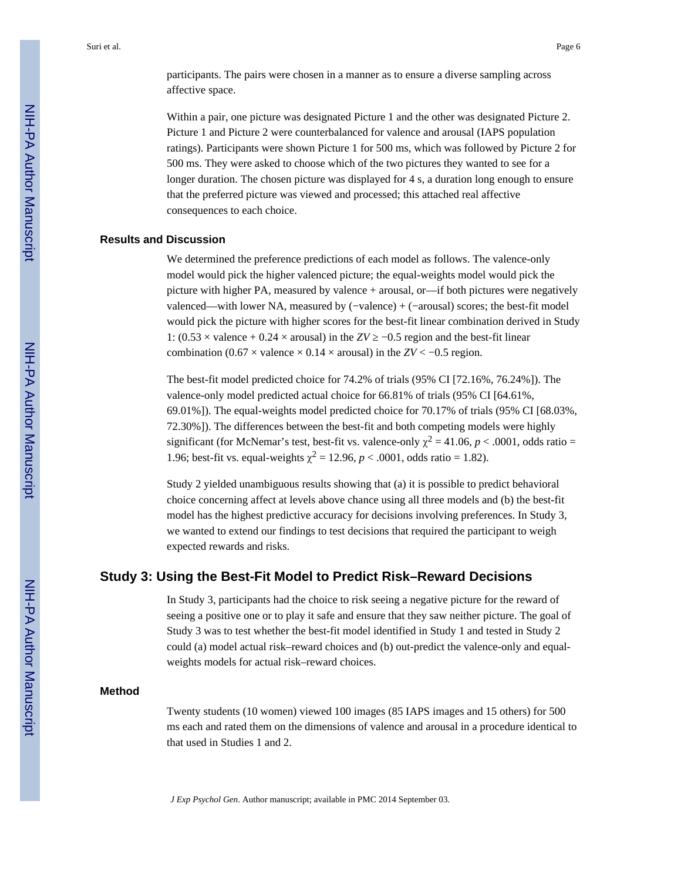participants. The pairs were chosen in a manner as to ensure a diverse sampling across affective space.

Within a pair, one picture was designated Picture 1 and the other was designated Picture 2. Picture 1 and Picture 2 were counterbalanced for valence and arousal (IAPS population ratings). Participants were shown Picture 1 for 500 ms, which was followed by Picture 2 for 500 ms. They were asked to choose which of the two pictures they wanted to see for a longer duration. The chosen picture was displayed for 4 s, a duration long enough to ensure that the preferred picture was viewed and processed; this attached real affective consequences to each choice.

#### **Results and Discussion**

We determined the preference predictions of each model as follows. The valence-only model would pick the higher valenced picture; the equal-weights model would pick the picture with higher PA, measured by valence + arousal, or—if both pictures were negatively valenced—with lower NA, measured by (−valence) + (−arousal) scores; the best-fit model would pick the picture with higher scores for the best-fit linear combination derived in Study 1:  $(0.53 \times \text{valence} + 0.24 \times \text{arousal})$  in the *ZV*  $-0.5$  region and the best-fit linear combination (0.67  $\times$  valence  $\times$  0.14  $\times$  arousal) in the *ZV* < −0.5 region.

The best-fit model predicted choice for 74.2% of trials (95% CI [72.16%, 76.24%]). The valence-only model predicted actual choice for 66.81% of trials (95% CI [64.61%, 69.01%]). The equal-weights model predicted choice for 70.17% of trials (95% CI [68.03%, 72.30%]). The differences between the best-fit and both competing models were highly significant (for McNemar's test, best-fit vs. valence-only  $\chi^2 = 41.06$ ,  $p < .0001$ , odds ratio = 1.96; best-fit vs. equal-weights  $\chi^2 = 12.96$ ,  $p < .0001$ , odds ratio = 1.82).

Study 2 yielded unambiguous results showing that (a) it is possible to predict behavioral choice concerning affect at levels above chance using all three models and (b) the best-fit model has the highest predictive accuracy for decisions involving preferences. In Study 3, we wanted to extend our findings to test decisions that required the participant to weigh expected rewards and risks.

## **Study 3: Using the Best-Fit Model to Predict Risk–Reward Decisions**

In Study 3, participants had the choice to risk seeing a negative picture for the reward of seeing a positive one or to play it safe and ensure that they saw neither picture. The goal of Study 3 was to test whether the best-fit model identified in Study 1 and tested in Study 2 could (a) model actual risk–reward choices and (b) out-predict the valence-only and equalweights models for actual risk–reward choices.

#### **Method**

Twenty students (10 women) viewed 100 images (85 IAPS images and 15 others) for 500 ms each and rated them on the dimensions of valence and arousal in a procedure identical to that used in Studies 1 and 2.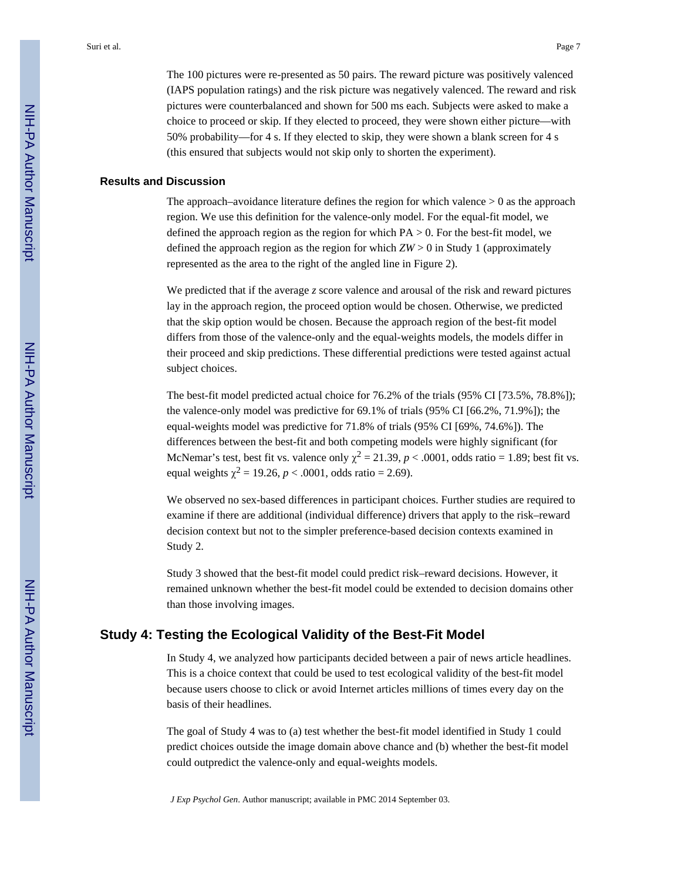The 100 pictures were re-presented as 50 pairs. The reward picture was positively valenced (IAPS population ratings) and the risk picture was negatively valenced. The reward and risk pictures were counterbalanced and shown for 500 ms each. Subjects were asked to make a choice to proceed or skip. If they elected to proceed, they were shown either picture—with 50% probability—for 4 s. If they elected to skip, they were shown a blank screen for 4 s (this ensured that subjects would not skip only to shorten the experiment).

#### **Results and Discussion**

The approach–avoidance literature defines the region for which valence  $> 0$  as the approach region. We use this definition for the valence-only model. For the equal-fit model, we defined the approach region as the region for which  $PA > 0$ . For the best-fit model, we defined the approach region as the region for which  $ZW > 0$  in Study 1 (approximately represented as the area to the right of the angled line in Figure 2).

We predicted that if the average *z* score valence and arousal of the risk and reward pictures lay in the approach region, the proceed option would be chosen. Otherwise, we predicted that the skip option would be chosen. Because the approach region of the best-fit model differs from those of the valence-only and the equal-weights models, the models differ in their proceed and skip predictions. These differential predictions were tested against actual subject choices.

The best-fit model predicted actual choice for 76.2% of the trials (95% CI [73.5%, 78.8%]); the valence-only model was predictive for 69.1% of trials (95% CI [66.2%, 71.9%]); the equal-weights model was predictive for 71.8% of trials (95% CI [69%, 74.6%]). The differences between the best-fit and both competing models were highly significant (for McNemar's test, best fit vs. valence only  $\chi^2 = 21.39$ ,  $p < .0001$ , odds ratio = 1.89; best fit vs. equal weights  $\chi^2 = 19.26$ ,  $p < .0001$ , odds ratio = 2.69).

We observed no sex-based differences in participant choices. Further studies are required to examine if there are additional (individual difference) drivers that apply to the risk–reward decision context but not to the simpler preference-based decision contexts examined in Study 2.

Study 3 showed that the best-fit model could predict risk–reward decisions. However, it remained unknown whether the best-fit model could be extended to decision domains other than those involving images.

## **Study 4: Testing the Ecological Validity of the Best-Fit Model**

In Study 4, we analyzed how participants decided between a pair of news article headlines. This is a choice context that could be used to test ecological validity of the best-fit model because users choose to click or avoid Internet articles millions of times every day on the basis of their headlines.

The goal of Study 4 was to (a) test whether the best-fit model identified in Study 1 could predict choices outside the image domain above chance and (b) whether the best-fit model could outpredict the valence-only and equal-weights models.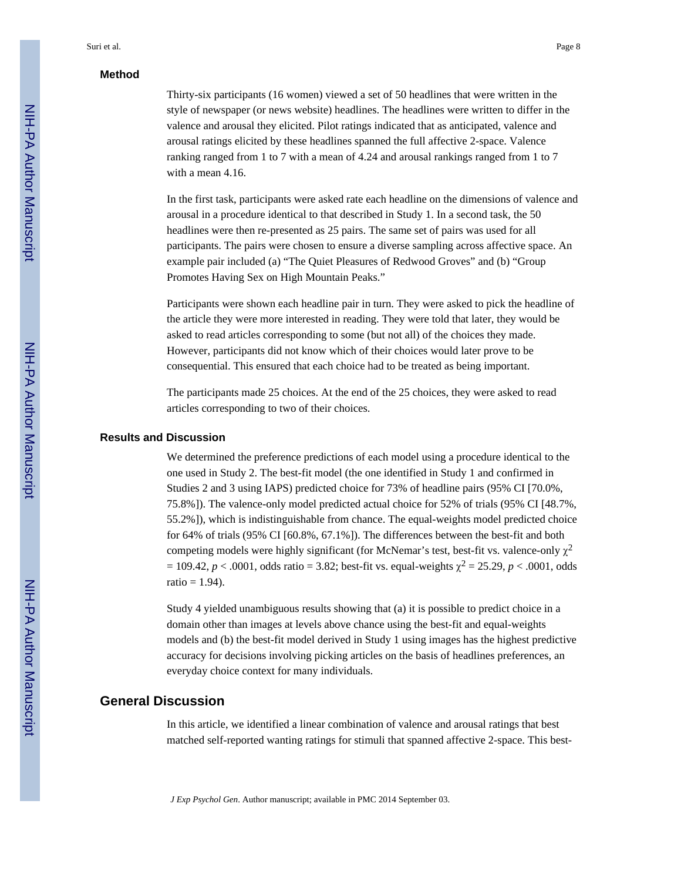#### **Method**

Thirty-six participants (16 women) viewed a set of 50 headlines that were written in the style of newspaper (or news website) headlines. The headlines were written to differ in the valence and arousal they elicited. Pilot ratings indicated that as anticipated, valence and arousal ratings elicited by these headlines spanned the full affective 2-space. Valence ranking ranged from 1 to 7 with a mean of 4.24 and arousal rankings ranged from 1 to 7 with a mean 4.16.

In the first task, participants were asked rate each headline on the dimensions of valence and arousal in a procedure identical to that described in Study 1. In a second task, the 50 headlines were then re-presented as 25 pairs. The same set of pairs was used for all participants. The pairs were chosen to ensure a diverse sampling across affective space. An example pair included (a) "The Quiet Pleasures of Redwood Groves" and (b) "Group Promotes Having Sex on High Mountain Peaks."

Participants were shown each headline pair in turn. They were asked to pick the headline of the article they were more interested in reading. They were told that later, they would be asked to read articles corresponding to some (but not all) of the choices they made. However, participants did not know which of their choices would later prove to be consequential. This ensured that each choice had to be treated as being important.

The participants made 25 choices. At the end of the 25 choices, they were asked to read articles corresponding to two of their choices.

#### **Results and Discussion**

We determined the preference predictions of each model using a procedure identical to the one used in Study 2. The best-fit model (the one identified in Study 1 and confirmed in Studies 2 and 3 using IAPS) predicted choice for 73% of headline pairs (95% CI [70.0%, 75.8%]). The valence-only model predicted actual choice for 52% of trials (95% CI [48.7%, 55.2%]), which is indistinguishable from chance. The equal-weights model predicted choice for 64% of trials (95% CI [60.8%, 67.1%]). The differences between the best-fit and both competing models were highly significant (for McNemar's test, best-fit vs. valence-only  $\chi^2$  $= 109.42, p < .0001$ , odds ratio = 3.82; best-fit vs. equal-weights  $\chi^2 = 25.29, p < .0001$ , odds ratio  $= 1.94$ ).

Study 4 yielded unambiguous results showing that (a) it is possible to predict choice in a domain other than images at levels above chance using the best-fit and equal-weights models and (b) the best-fit model derived in Study 1 using images has the highest predictive accuracy for decisions involving picking articles on the basis of headlines preferences, an everyday choice context for many individuals.

# **General Discussion**

In this article, we identified a linear combination of valence and arousal ratings that best matched self-reported wanting ratings for stimuli that spanned affective 2-space. This best-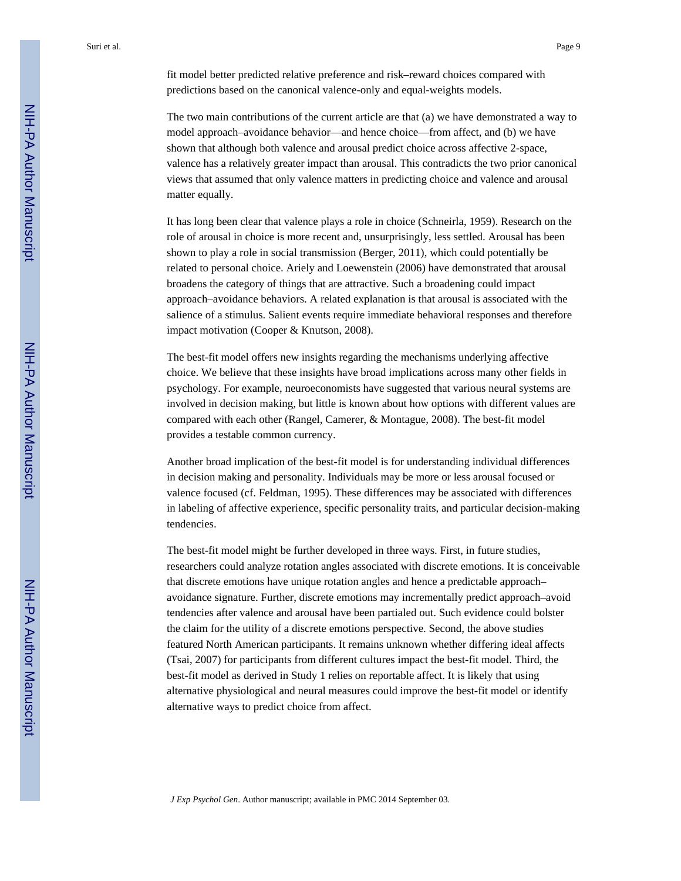fit model better predicted relative preference and risk–reward choices compared with predictions based on the canonical valence-only and equal-weights models.

The two main contributions of the current article are that (a) we have demonstrated a way to model approach–avoidance behavior—and hence choice—from affect, and (b) we have shown that although both valence and arousal predict choice across affective 2-space, valence has a relatively greater impact than arousal. This contradicts the two prior canonical views that assumed that only valence matters in predicting choice and valence and arousal matter equally.

It has long been clear that valence plays a role in choice (Schneirla, 1959). Research on the role of arousal in choice is more recent and, unsurprisingly, less settled. Arousal has been shown to play a role in social transmission (Berger, 2011), which could potentially be related to personal choice. Ariely and Loewenstein (2006) have demonstrated that arousal broadens the category of things that are attractive. Such a broadening could impact approach–avoidance behaviors. A related explanation is that arousal is associated with the salience of a stimulus. Salient events require immediate behavioral responses and therefore impact motivation (Cooper & Knutson, 2008).

The best-fit model offers new insights regarding the mechanisms underlying affective choice. We believe that these insights have broad implications across many other fields in psychology. For example, neuroeconomists have suggested that various neural systems are involved in decision making, but little is known about how options with different values are compared with each other (Rangel, Camerer, & Montague, 2008). The best-fit model provides a testable common currency.

Another broad implication of the best-fit model is for understanding individual differences in decision making and personality. Individuals may be more or less arousal focused or valence focused (cf. Feldman, 1995). These differences may be associated with differences in labeling of affective experience, specific personality traits, and particular decision-making tendencies.

The best-fit model might be further developed in three ways. First, in future studies, researchers could analyze rotation angles associated with discrete emotions. It is conceivable that discrete emotions have unique rotation angles and hence a predictable approach– avoidance signature. Further, discrete emotions may incrementally predict approach–avoid tendencies after valence and arousal have been partialed out. Such evidence could bolster the claim for the utility of a discrete emotions perspective. Second, the above studies featured North American participants. It remains unknown whether differing ideal affects (Tsai, 2007) for participants from different cultures impact the best-fit model. Third, the best-fit model as derived in Study 1 relies on reportable affect. It is likely that using alternative physiological and neural measures could improve the best-fit model or identify alternative ways to predict choice from affect.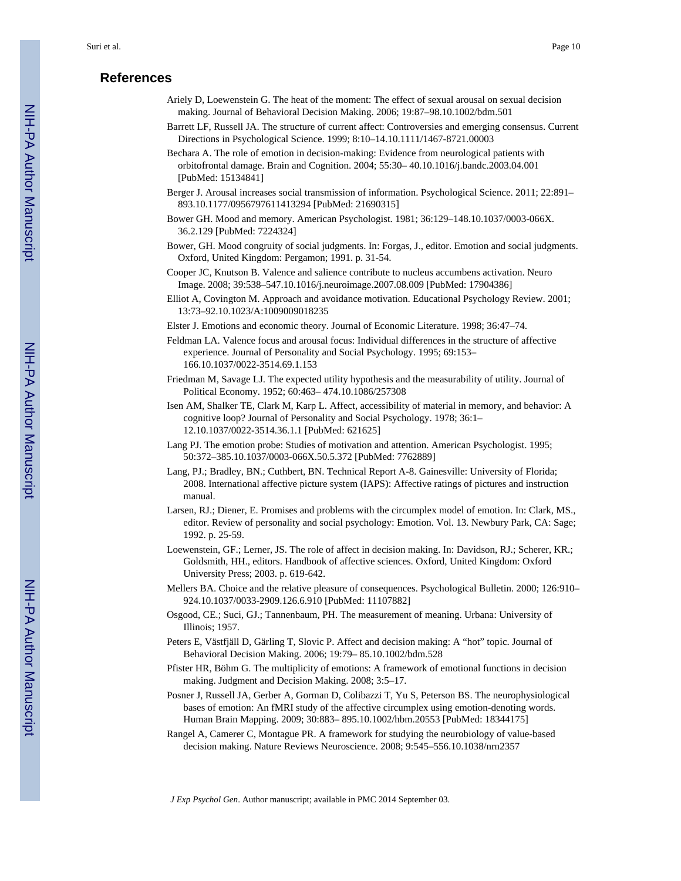# **References**

- Ariely D, Loewenstein G. The heat of the moment: The effect of sexual arousal on sexual decision making. Journal of Behavioral Decision Making. 2006; 19:87–98.10.1002/bdm.501
- Barrett LF, Russell JA. The structure of current affect: Controversies and emerging consensus. Current Directions in Psychological Science. 1999; 8:10–14.10.1111/1467-8721.00003
- Bechara A. The role of emotion in decision-making: Evidence from neurological patients with orbitofrontal damage. Brain and Cognition. 2004; 55:30– 40.10.1016/j.bandc.2003.04.001 [PubMed: 15134841]
- Berger J. Arousal increases social transmission of information. Psychological Science. 2011; 22:891– 893.10.1177/0956797611413294 [PubMed: 21690315]
- Bower GH. Mood and memory. American Psychologist. 1981; 36:129–148.10.1037/0003-066X. 36.2.129 [PubMed: 7224324]
- Bower, GH. Mood congruity of social judgments. In: Forgas, J., editor. Emotion and social judgments. Oxford, United Kingdom: Pergamon; 1991. p. 31-54.
- Cooper JC, Knutson B. Valence and salience contribute to nucleus accumbens activation. Neuro Image. 2008; 39:538–547.10.1016/j.neuroimage.2007.08.009 [PubMed: 17904386]
- Elliot A, Covington M. Approach and avoidance motivation. Educational Psychology Review. 2001; 13:73–92.10.1023/A:1009009018235
- Elster J. Emotions and economic theory. Journal of Economic Literature. 1998; 36:47–74.
- Feldman LA. Valence focus and arousal focus: Individual differences in the structure of affective experience. Journal of Personality and Social Psychology. 1995; 69:153– 166.10.1037/0022-3514.69.1.153
- Friedman M, Savage LJ. The expected utility hypothesis and the measurability of utility. Journal of Political Economy. 1952; 60:463– 474.10.1086/257308
- Isen AM, Shalker TE, Clark M, Karp L. Affect, accessibility of material in memory, and behavior: A cognitive loop? Journal of Personality and Social Psychology. 1978; 36:1– 12.10.1037/0022-3514.36.1.1 [PubMed: 621625]
- Lang PJ. The emotion probe: Studies of motivation and attention. American Psychologist. 1995; 50:372–385.10.1037/0003-066X.50.5.372 [PubMed: 7762889]
- Lang, PJ.; Bradley, BN.; Cuthbert, BN. Technical Report A-8. Gainesville: University of Florida; 2008. International affective picture system (IAPS): Affective ratings of pictures and instruction manual.
- Larsen, RJ.; Diener, E. Promises and problems with the circumplex model of emotion. In: Clark, MS., editor. Review of personality and social psychology: Emotion. Vol. 13. Newbury Park, CA: Sage; 1992. p. 25-59.
- Loewenstein, GF.; Lerner, JS. The role of affect in decision making. In: Davidson, RJ.; Scherer, KR.; Goldsmith, HH., editors. Handbook of affective sciences. Oxford, United Kingdom: Oxford University Press; 2003. p. 619-642.
- Mellers BA. Choice and the relative pleasure of consequences. Psychological Bulletin. 2000; 126:910– 924.10.1037/0033-2909.126.6.910 [PubMed: 11107882]
- Osgood, CE.; Suci, GJ.; Tannenbaum, PH. The measurement of meaning. Urbana: University of Illinois; 1957.
- Peters E, Västfjäll D, Gärling T, Slovic P. Affect and decision making: A "hot" topic. Journal of Behavioral Decision Making. 2006; 19:79– 85.10.1002/bdm.528
- Pfister HR, Böhm G. The multiplicity of emotions: A framework of emotional functions in decision making. Judgment and Decision Making. 2008; 3:5–17.
- Posner J, Russell JA, Gerber A, Gorman D, Colibazzi T, Yu S, Peterson BS. The neurophysiological bases of emotion: An fMRI study of the affective circumplex using emotion-denoting words. Human Brain Mapping. 2009; 30:883– 895.10.1002/hbm.20553 [PubMed: 18344175]
- Rangel A, Camerer C, Montague PR. A framework for studying the neurobiology of value-based decision making. Nature Reviews Neuroscience. 2008; 9:545–556.10.1038/nrn2357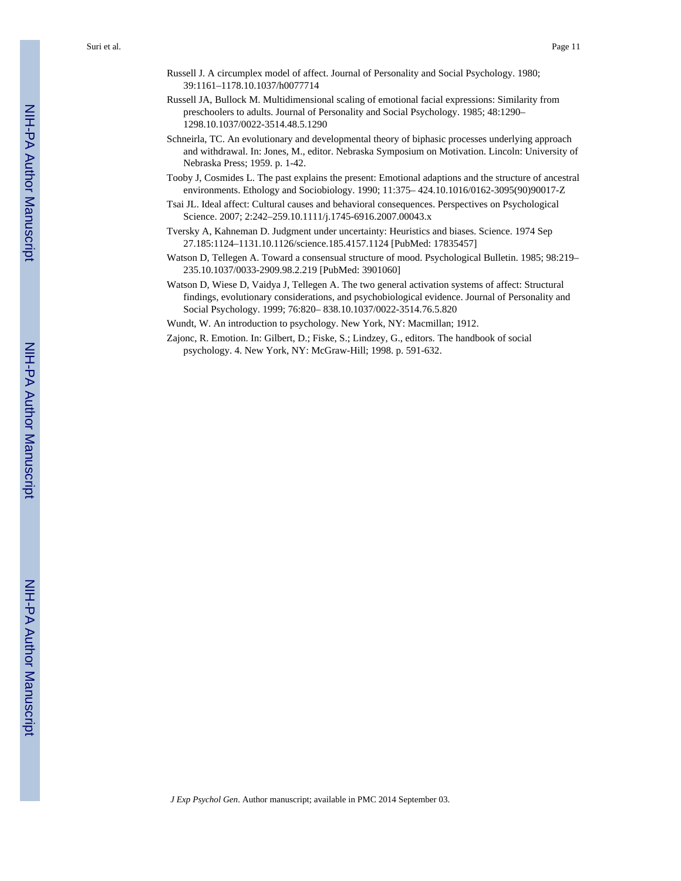- Russell J. A circumplex model of affect. Journal of Personality and Social Psychology. 1980; 39:1161–1178.10.1037/h0077714
- Russell JA, Bullock M. Multidimensional scaling of emotional facial expressions: Similarity from preschoolers to adults. Journal of Personality and Social Psychology. 1985; 48:1290– 1298.10.1037/0022-3514.48.5.1290
- Schneirla, TC. An evolutionary and developmental theory of biphasic processes underlying approach and withdrawal. In: Jones, M., editor. Nebraska Symposium on Motivation. Lincoln: University of Nebraska Press; 1959. p. 1-42.
- Tooby J, Cosmides L. The past explains the present: Emotional adaptions and the structure of ancestral environments. Ethology and Sociobiology. 1990; 11:375– 424.10.1016/0162-3095(90)90017-Z
- Tsai JL. Ideal affect: Cultural causes and behavioral consequences. Perspectives on Psychological Science. 2007; 2:242–259.10.1111/j.1745-6916.2007.00043.x
- Tversky A, Kahneman D. Judgment under uncertainty: Heuristics and biases. Science. 1974 Sep 27.185:1124–1131.10.1126/science.185.4157.1124 [PubMed: 17835457]
- Watson D, Tellegen A. Toward a consensual structure of mood. Psychological Bulletin. 1985; 98:219– 235.10.1037/0033-2909.98.2.219 [PubMed: 3901060]
- Watson D, Wiese D, Vaidya J, Tellegen A. The two general activation systems of affect: Structural findings, evolutionary considerations, and psychobiological evidence. Journal of Personality and Social Psychology. 1999; 76:820– 838.10.1037/0022-3514.76.5.820
- Wundt, W. An introduction to psychology. New York, NY: Macmillan; 1912.
- Zajonc, R. Emotion. In: Gilbert, D.; Fiske, S.; Lindzey, G., editors. The handbook of social psychology. 4. New York, NY: McGraw-Hill; 1998. p. 591-632.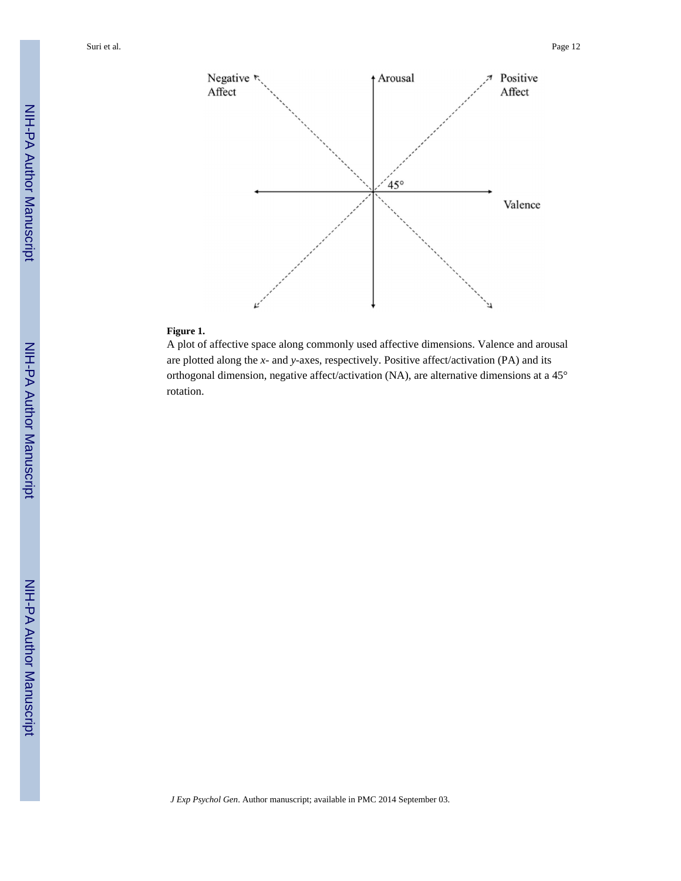

# **Figure 1.**

A plot of affective space along commonly used affective dimensions. Valence and arousal are plotted along the *x*- and *y*-axes, respectively. Positive affect/activation (PA) and its orthogonal dimension, negative affect/activation (NA), are alternative dimensions at a 45° rotation.